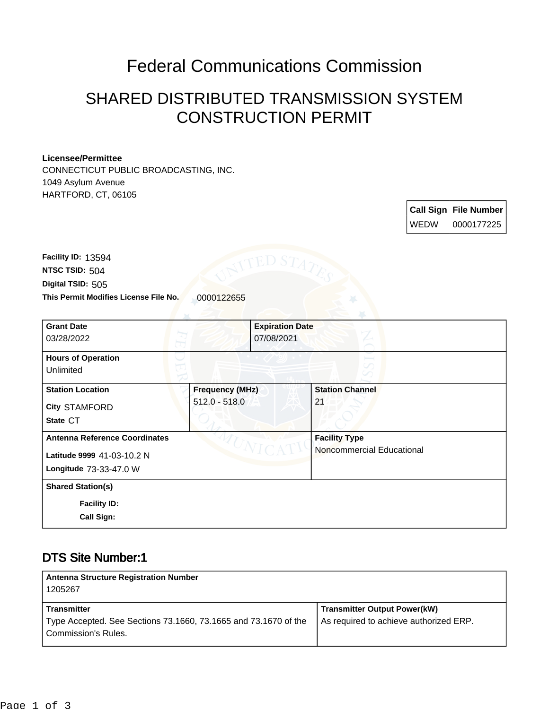## Federal Communications Commission

## SHARED DISTRIBUTED TRANSMISSION SYSTEM CONSTRUCTION PERMIT

#### **Licensee/Permittee**

CONNECTICUT PUBLIC BROADCASTING, INC. 1049 Asylum Avenue HARTFORD, CT, 06105

> **Call Sign File Number** WEDW 0000177225

This Permit Modifies License File No. 0000122655 **Digital TSID:** 505 **NTSC TSID:** 504 **Facility ID:** 13594

| <b>Grant Date</b><br>03/28/2022                      |                        | <b>Expiration Date</b><br>07/08/2021 |
|------------------------------------------------------|------------------------|--------------------------------------|
| <b>Hours of Operation</b><br>Unlimited               |                        |                                      |
| <b>Station Location</b>                              | <b>Frequency (MHz)</b> | <b>Station Channel</b>               |
| City STAMFORD                                        | $512.0 - 518.0$        | 21                                   |
| State CT                                             |                        |                                      |
| <b>Antenna Reference Coordinates</b>                 |                        | <b>Facility Type</b>                 |
| Latitude 9999 41-03-10.2 N<br>Longitude 73-33-47.0 W |                        | Noncommercial Educational            |
| <b>Shared Station(s)</b>                             |                        |                                      |
| <b>Facility ID:</b>                                  |                        |                                      |
| <b>Call Sign:</b>                                    |                        |                                      |

### DTS Site Number:1

| <b>Antenna Structure Registration Number</b><br>1205267                                |                                        |
|----------------------------------------------------------------------------------------|----------------------------------------|
| <b>Transmitter</b>                                                                     | <b>Transmitter Output Power(kW)</b>    |
| Type Accepted. See Sections 73.1660, 73.1665 and 73.1670 of the<br>Commission's Rules. | As required to achieve authorized ERP. |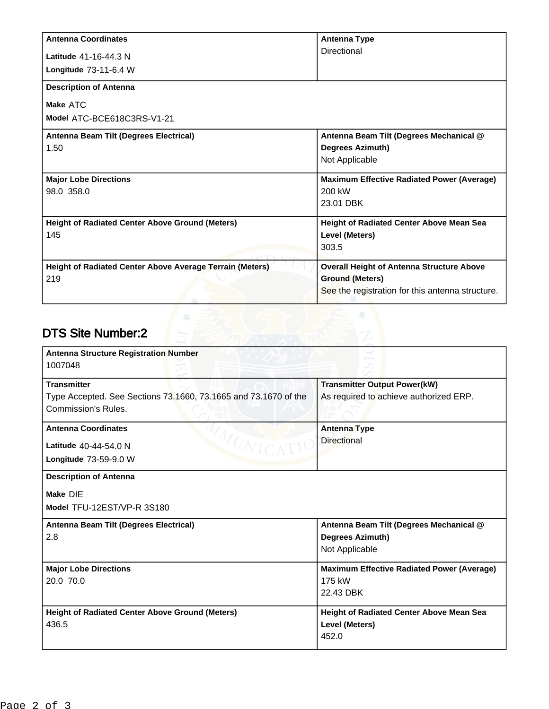| <b>Antenna Coordinates</b>                                      | <b>Antenna Type</b>                               |
|-----------------------------------------------------------------|---------------------------------------------------|
| Latitude 41-16-44.3 N                                           | Directional                                       |
| Longitude 73-11-6.4 W                                           |                                                   |
| <b>Description of Antenna</b>                                   |                                                   |
| Make ATC                                                        |                                                   |
| Model ATC-BCE618C3RS-V1-21                                      |                                                   |
| Antenna Beam Tilt (Degrees Electrical)                          | Antenna Beam Tilt (Degrees Mechanical @           |
| 1.50                                                            | <b>Degrees Azimuth)</b>                           |
|                                                                 | Not Applicable                                    |
| <b>Major Lobe Directions</b>                                    | <b>Maximum Effective Radiated Power (Average)</b> |
| 98.0 358.0                                                      | 200 kW                                            |
|                                                                 | 23.01 DBK                                         |
| <b>Height of Radiated Center Above Ground (Meters)</b>          | <b>Height of Radiated Center Above Mean Sea</b>   |
| 145                                                             | Level (Meters)                                    |
|                                                                 | 303.5                                             |
| <b>Height of Radiated Center Above Average Terrain (Meters)</b> | <b>Overall Height of Antenna Structure Above</b>  |
| 219                                                             | <b>Ground (Meters)</b>                            |
|                                                                 | See the registration for this antenna structure.  |

# DTS Site Number:2

| <b>Antenna Structure Registration Number</b><br>1007048                                                      |                                                                                      |
|--------------------------------------------------------------------------------------------------------------|--------------------------------------------------------------------------------------|
| <b>Transmitter</b><br>Type Accepted. See Sections 73.1660, 73.1665 and 73.1670 of the<br>Commission's Rules. | <b>Transmitter Output Power(kW)</b><br>As required to achieve authorized ERP.        |
| <b>Antenna Coordinates</b><br>AMUNIC<br>Latitude 40-44-54.0 N<br>Longitude 73-59-9.0 W                       | <b>Antenna Type</b><br><b>Directional</b>                                            |
| <b>Description of Antenna</b><br>Make DIE<br>Model TFU-12EST/VP-R 3S180                                      |                                                                                      |
| Antenna Beam Tilt (Degrees Electrical)<br>2.8                                                                | Antenna Beam Tilt (Degrees Mechanical @<br><b>Degrees Azimuth)</b><br>Not Applicable |
| <b>Major Lobe Directions</b><br>20.0 70.0                                                                    | <b>Maximum Effective Radiated Power (Average)</b><br>175 kW<br>22.43 DBK             |
| <b>Height of Radiated Center Above Ground (Meters)</b><br>436.5                                              | <b>Height of Radiated Center Above Mean Sea</b><br>Level (Meters)<br>452.0           |